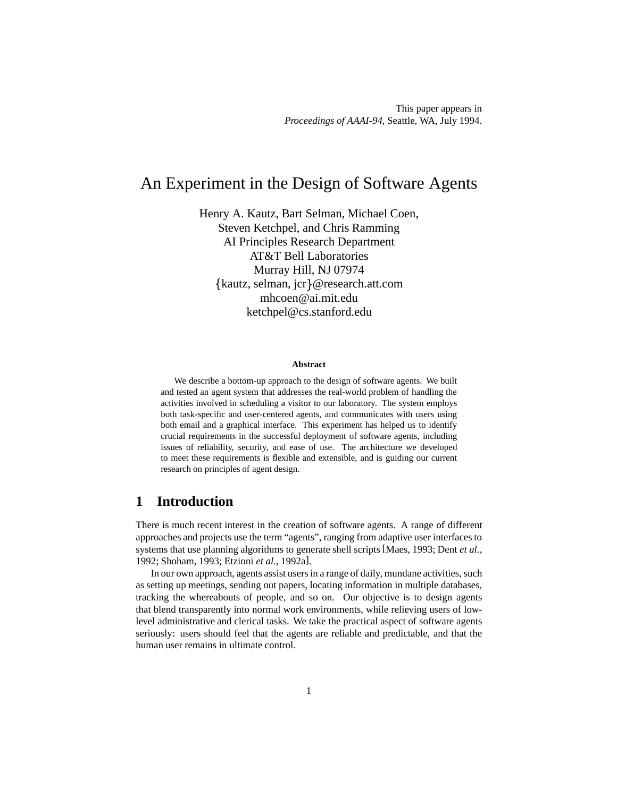# An Experiment in the Design of Software Agents

Henry A. Kautz, Bart Selman, Michael Coen, Steven Ketchpel, and Chris Ramming AI Principles Research Department AT&T Bell Laboratories Murray Hill, NJ 07974 {kautz, selman, jcr}@research.att.com mhcoen@ai.mit.edu ketchpel@cs.stanford.edu

#### **Abstract**

We describe a bottom-up approach to the design of software agents. We built and tested an agent system that addresses the real-world problem of handling the activities involved in scheduling a visitor to our laboratory. The system employs both task-specific and user-centered agents, and communicates with users using both email and a graphical interface. This experiment has helped us to identify crucial requirements in the successful deployment of software agents, including issues of reliability, security, and ease of use. The architecture we developed to meet these requirements is flexible and extensible, and is guiding our current research on principles of agent design.

# **1 Introduction**

There is much recent interest in the creation of software agents. A range of different approaches and projects use the term "agents", ranging from adaptive user interfacesto systems that use planning algorithms to generate shell scripts [Maes, 1993; Dent *et al.*, 1992; Shoham, 1993; Etzioni *et al.*, 1992a].

In our own approach, agents assist usersin a range of daily, mundane activities, such as setting up meetings, sending out papers, locating information in multiple databases, tracking the whereabouts of people, and so on. Our objective is to design agents that blend transparently into normal work environments, while relieving users of lowlevel administrative and clerical tasks. We take the practical aspect of software agents seriously: users should feel that the agents are reliable and predictable, and that the human user remains in ultimate control.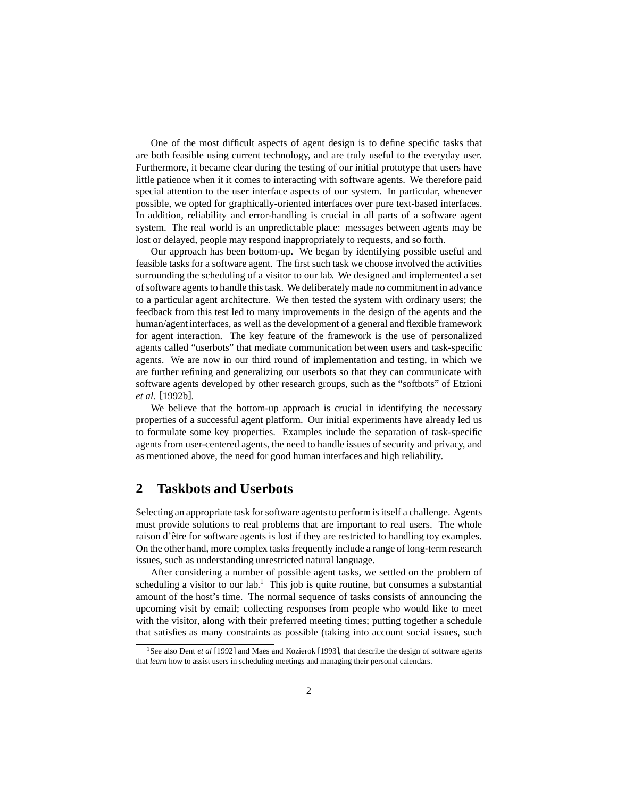One of the most difficult aspects of agent design is to define specific tasks that are both feasible using current technology, and are truly useful to the everyday user. Furthermore, it became clear during the testing of our initial prototype that users have little patience when it it comes to interacting with software agents. We therefore paid special attention to the user interface aspects of our system. In particular, whenever possible, we opted for graphically-oriented interfaces over pure text-based interfaces. In addition, reliability and error-handling is crucial in all parts of a software agent system. The real world is an unpredictable place: messages between agents may be lost or delayed, people may respond inappropriately to requests, and so forth.

Our approach has been bottom-up. We began by identifying possible useful and feasible tasks for a software agent. The first such task we choose involved the activities surrounding the scheduling of a visitor to our lab. We designed and implemented a set of software agents to handle this task. We deliberately made no commitment in advance to a particular agent architecture. We then tested the system with ordinary users; the feedback from this test led to many improvements in the design of the agents and the human/agentinterfaces, as well as the development of a general and flexible framework for agent interaction. The key feature of the framework is the use of personalized agents called "userbots" that mediate communication between users and task-specific agents. We are now in our third round of implementation and testing, in which we are further refining and generalizing our userbots so that they can communicate with software agents developed by other research groups, such as the "softbots" of Etzioni *et al.* [1992b].

We believe that the bottom-up approach is crucial in identifying the necessary properties of a successful agent platform. Our initial experiments have already led us to formulate some key properties. Examples include the separation of task-specific agents from user-centered agents, the need to handle issues of security and privacy, and as mentioned above, the need for good human interfaces and high reliability.

# **2 Taskbots and Userbots**

Selecting an appropriate task for software agents to perform is itself a challenge. Agents must provide solutions to real problems that are important to real users. The whole raison d'être for software agents is lost if they are restricted to handling toy examples. On the other hand, more complex tasks frequently include a range of long-term research issues, such as understanding unrestricted natural language.

After considering a number of possible agent tasks, we settled on the problem of scheduling a visitor to our lab.<sup>1</sup> This job is quite routine, but consumes a substantial amount of the host's time. The normal sequence of tasks consists of announcing the upcoming visit by email; collecting responses from people who would like to meet with the visitor, along with their preferred meeting times; putting together a schedule that satisfies as many constraints as possible (taking into account social issues, such

<sup>1</sup>See also Dent *et al* [1992] and Maes and Kozierok [1993], that describe the design of software agents that *learn* how to assist users in scheduling meetings and managing their personal calendars.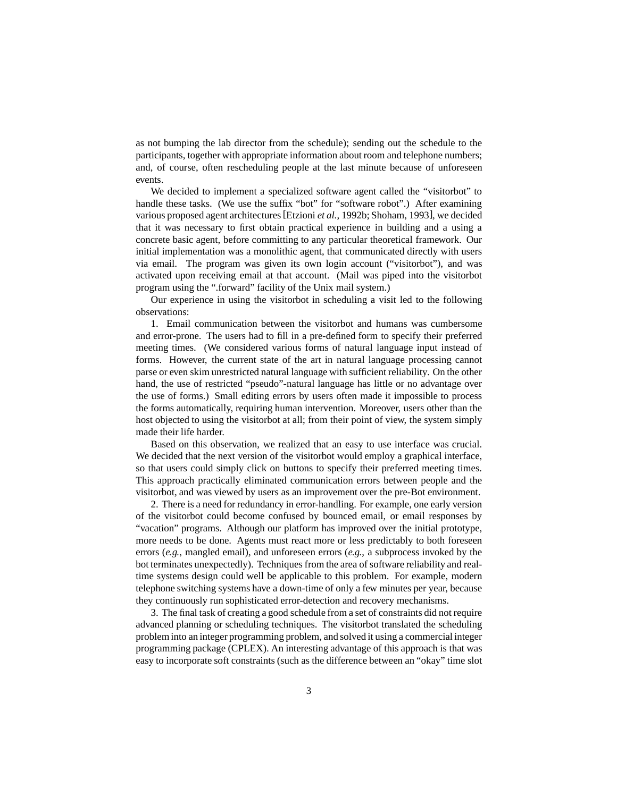as not bumping the lab director from the schedule); sending out the schedule to the participants, together with appropriate information about room and telephone numbers; and, of course, often rescheduling people at the last minute because of unforeseen events.

We decided to implement a specialized software agent called the "visitorbot" to handle these tasks. (We use the suffix "bot" for "software robot".) After examining various proposed agent architectures [Etzioni et al., 1992b; Shoham, 1993], we decided that it was necessary to first obtain practical experience in building and a using a concrete basic agent, before committing to any particular theoretical framework. Our initial implementation was a monolithic agent, that communicated directly with users via email. The program was given its own login account ("visitorbot"), and was activated upon receiving email at that account. (Mail was piped into the visitorbot program using the ".forward" facility of the Unix mail system.)

Our experience in using the visitorbot in scheduling a visit led to the following observations:

1. Email communication between the visitorbot and humans was cumbersome and error-prone. The users had to fill in a pre-defined form to specify their preferred meeting times. (We considered various forms of natural language input instead of forms. However, the current state of the art in natural language processing cannot parse or even skim unrestricted naturallanguage with sufficient reliability. On the other hand, the use of restricted "pseudo"-natural language has little or no advantage over the use of forms.) Small editing errors by users often made it impossible to process the forms automatically, requiring human intervention. Moreover, users other than the host objected to using the visitorbot at all; from their point of view, the system simply made their life harder.

Based on this observation, we realized that an easy to use interface was crucial. We decided that the next version of the visitorbot would employ a graphical interface, so that users could simply click on buttons to specify their preferred meeting times. This approach practically eliminated communication errors between people and the visitorbot, and was viewed by users as an improvement over the pre-Bot environment.

2. There is a need for redundancy in error-handling. For example, one early version of the visitorbot could become confused by bounced email, or email responses by "vacation" programs. Although our platform has improved over the initial prototype, more needs to be done. Agents must react more or less predictably to both foreseen errors (*e.g.*, mangled email), and unforeseen errors (*e.g.*, a subprocess invoked by the bot terminates unexpectedly). Techniques from the area of software reliability and realtime systems design could well be applicable to this problem. For example, modern telephone switching systems have a down-time of only a few minutes per year, because they continuously run sophisticated error-detection and recovery mechanisms.

3. Thefinaltask of creating a good schedule from a set of constraints did not require advanced planning or scheduling techniques. The visitorbot translated the scheduling probleminto an integer programming problem, and solved it using a commercialinteger programming package (CPLEX). An interesting advantage of this approach is that was easy to incorporate soft constraints (such as the difference between an "okay" time slot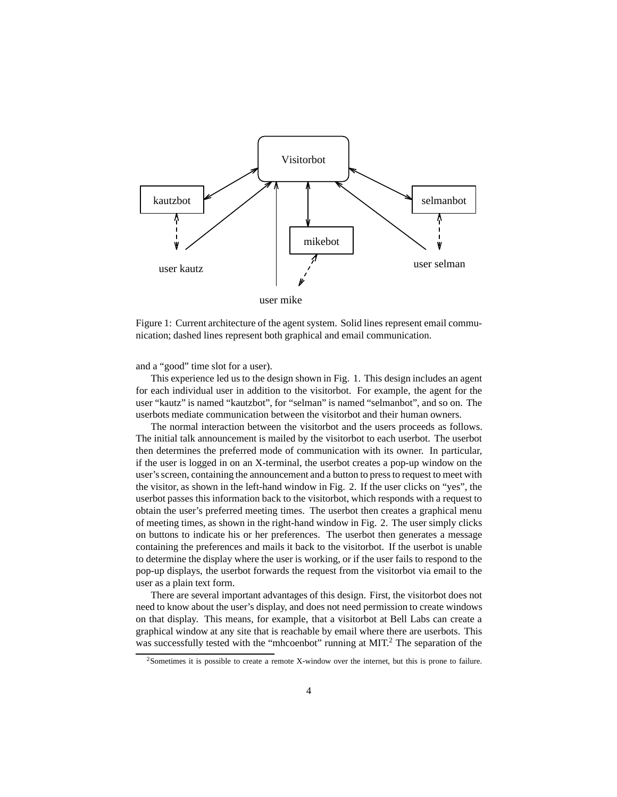

Figure 1: Current architecture of the agent system. Solid lines represent email communication; dashed lines represent both graphical and email communication.

and a "good" time slot for a user).

This experience led us to the design shown in Fig. 1. This design includes an agent for each individual user in addition to the visitorbot. For example, the agent for the user "kautz" is named "kautzbot", for "selman" is named "selmanbot", and so on. The userbots mediate communication between the visitorbot and their human owners.

The normal interaction between the visitorbot and the users proceeds as follows. The initial talk announcement is mailed by the visitorbot to each userbot. The userbot then determines the preferred mode of communication with its owner. In particular, if the user is logged in on an X-terminal, the userbot creates a pop-up window on the user'sscreen, containing the announcement and a button to pressto requestto meet with the visitor, as shown in the left-hand window in Fig. 2. If the user clicks on "yes", the userbot passes this information back to the visitorbot, which responds with a requestto obtain the user's preferred meeting times. The userbot then creates a graphical menu of meeting times, as shown in the right-hand window in Fig. 2. The user simply clicks on buttons to indicate his or her preferences. The userbot then generates a message containing the preferences and mails it back to the visitorbot. If the userbot is unable to determine the display where the user is working, or if the user fails to respond to the pop-up displays, the userbot forwards the request from the visitorbot via email to the user as a plain text form.

There are several important advantages of this design. First, the visitorbot does not need to know about the user's display, and does not need permission to create windows on that display. This means, for example, that a visitorbot at Bell Labs can create a graphical window at any site that is reachable by email where there are userbots. This was successfully tested with the "mhcoenbot" running at MIT.<sup>2</sup> The separation of the

<sup>2</sup>Sometimes it is possible to create a remote X-window over the internet, but this is prone to failure.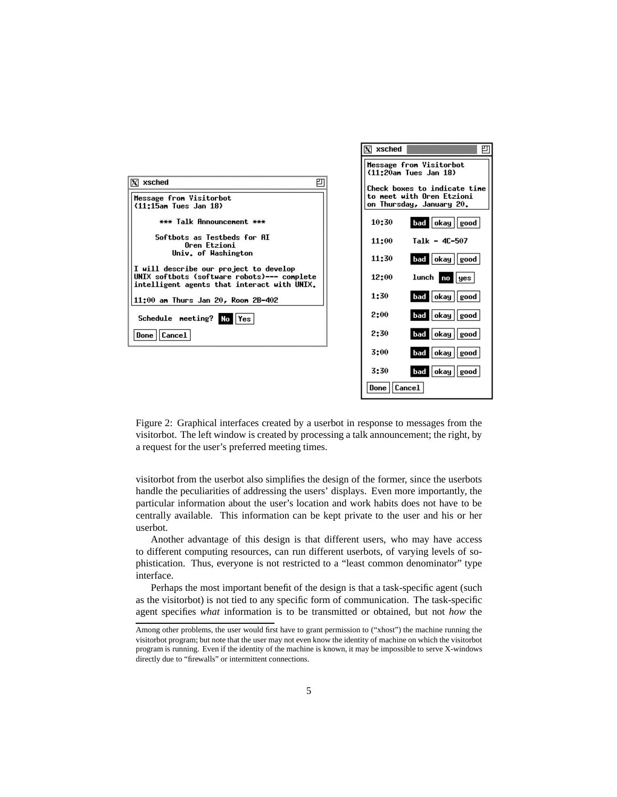|                                                                                                                                      | 巴<br>⊠ xsched                                            |
|--------------------------------------------------------------------------------------------------------------------------------------|----------------------------------------------------------|
|                                                                                                                                      | Message from Visitorbot<br>$(11:20an$ Tues Jan $18)$     |
| IXI xsched                                                                                                                           | Check boxes to indicate time                             |
| Message from Visitorbot<br>$(11:15an$ Tues Jan $18)$                                                                                 | to neet with Oren Etzioni<br>on Thursday, January 20.    |
| *** Talk Announcement ***                                                                                                            | 10:30<br><b>bad</b>   okay    good                       |
| Softbots as Testbeds for AT<br>Oren Etzioni                                                                                          | Talk - $4C-507$<br>11:00                                 |
| Univ. of Hashington                                                                                                                  | 11:30<br>$\boxed{$ bad $\parallel$ okay $\parallel$ good |
| I will describe our project to develop<br>UNIX softbots (software robots)--- complete<br>intelligent agents that interact with UNIX. | 12:00<br>$Lunch$ no $ yes $                              |
| 11:00 an Thurs Jan 20, Roon 2B-402                                                                                                   | 1:30<br>bad   okay    good                               |
| Schedule neeting? $\boxed{\{0\}}$ Yes                                                                                                | 2:00<br>$ $ okay $ $<br>bad l<br>∣good                   |
| <b>Cancel</b><br>Done                                                                                                                | 2:30<br>bad l<br>  okay    good                          |
|                                                                                                                                      | 3:00<br>bad<br> okay    good                             |
|                                                                                                                                      | 3:30<br>bad   okay    good                               |
|                                                                                                                                      | Cancel<br>Done                                           |

Figure 2: Graphical interfaces created by a userbot in response to messages from the visitorbot. The left window is created by processing a talk announcement; the right, by a request for the user's preferred meeting times.

visitorbot from the userbot also simplifies the design of the former, since the userbots handle the peculiarities of addressing the users' displays. Even more importantly, the particular information about the user's location and work habits does not have to be centrally available. This information can be kept private to the user and his or her userbot.

Another advantage of this design is that different users, who may have access to different computing resources, can run different userbots, of varying levels of sophistication. Thus, everyone is not restricted to a "least common denominator" type interface.

Perhaps the most important benefit of the design is that a task-specific agent (such as the visitorbot) is not tied to any specific form of communication. The task-specific agent specifies *what* information is to be transmitted or obtained, but not *how* the

Among other problems, the user would first have to grant permission to ("xhost") the machine running the visitorbot program; but note that the user may not even know the identity of machine on which the visitorbot program is running. Even if the identity of the machine is known, it may be impossible to serve X-windows directly due to "firewalls" or intermittent connections.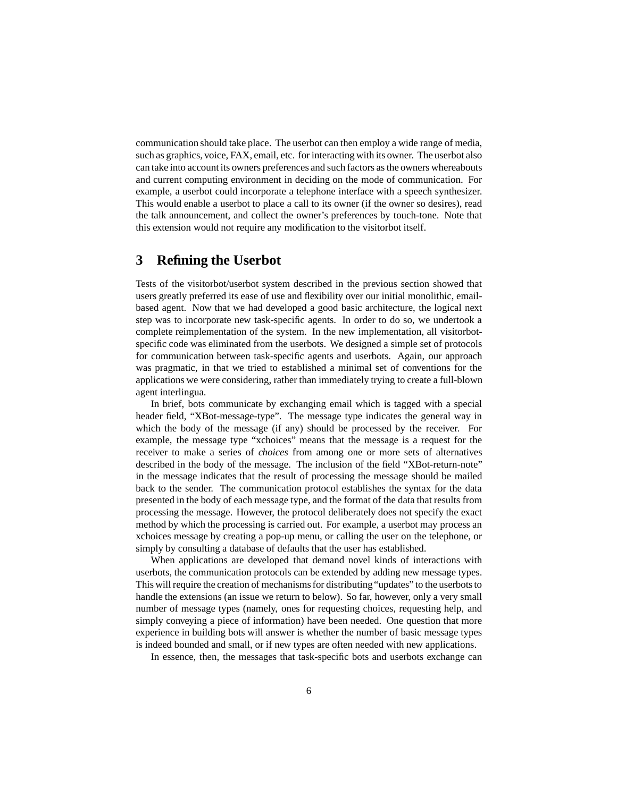communication should take place. The userbot can then employ a wide range of media, such as graphics, voice,FAX, email, etc. for interacting with its owner. The userbot also can take into account its owners preferences and such factors as the owners whereabouts and current computing environment in deciding on the mode of communication. For example, a userbot could incorporate a telephone interface with a speech synthesizer. This would enable a userbot to place a call to its owner (if the owner so desires), read the talk announcement, and collect the owner's preferences by touch-tone. Note that this extension would not require any modification to the visitorbot itself.

# **3 Refining the Userbot**

Tests of the visitorbot/userbot system described in the previous section showed that users greatly preferred its ease of use and flexibility over our initial monolithic, emailbased agent. Now that we had developed a good basic architecture, the logical next step was to incorporate new task-specific agents. In order to do so, we undertook a complete reimplementation of the system. In the new implementation, all visitorbotspecific code was eliminated from the userbots. We designed a simple set of protocols for communication between task-specific agents and userbots. Again, our approach was pragmatic, in that we tried to established a minimal set of conventions for the applications we were considering, rather than immediately trying to create a full-blown agent interlingua.

In brief, bots communicate by exchanging email which is tagged with a special header field, "XBot-message-type". The message type indicates the general way in which the body of the message (if any) should be processed by the receiver. For example, the message type "xchoices" means that the message is a request for the receiver to make a series of *choices* from among one or more sets of alternatives described in the body of the message. The inclusion of the field "XBot-return-note" in the message indicates that the result of processing the message should be mailed back to the sender. The communication protocol establishes the syntax for the data presented in the body of each message type, and the format of the data that results from processing the message. However, the protocol deliberately does not specify the exact method by which the processing is carried out. For example, a userbot may process an xchoices message by creating a pop-up menu, or calling the user on the telephone, or simply by consulting a database of defaults that the user has established.

When applications are developed that demand novel kinds of interactions with userbots, the communication protocols can be extended by adding new message types. This will require the creation of mechanismsfor distributing "updates" to the userbotsto handle the extensions (an issue we return to below). So far, however, only a very small number of message types (namely, ones for requesting choices, requesting help, and simply conveying a piece of information) have been needed. One question that more experience in building bots will answer is whether the number of basic message types is indeed bounded and small, or if new types are often needed with new applications.

In essence, then, the messages that task-specific bots and userbots exchange can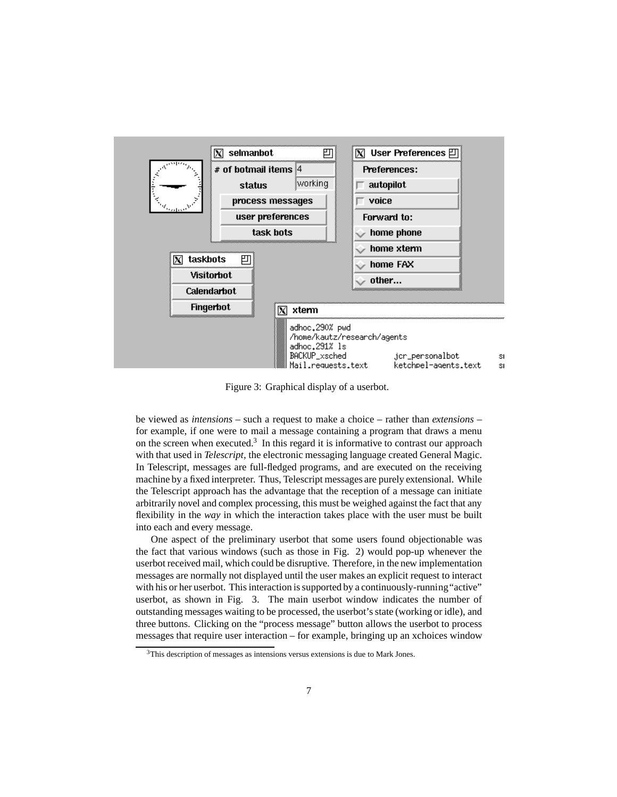

Figure 3: Graphical display of a userbot.

be viewed as *intensions* – such a request to make a choice – rather than *extensions* – for example, if one were to mail a message containing a program that draws a menu on the screen when executed. $3 \text{ In this regard it is informative to contrast our approach}$ with that used in *Telescript*, the electronic messaging language created General Magic. In Telescript, messages are full-fledged programs, and are executed on the receiving machine by afixed interpreter. Thus, Telescript messages are purely extensional. While the Telescript approach has the advantage that the reception of a message can initiate arbitrarily novel and complex processing, this must be weighed against the fact that any flexibility in the *way* in which the interaction takes place with the user must be built into each and every message.

One aspect of the preliminary userbot that some users found objectionable was the fact that various windows (such as those in Fig. 2) would pop-up whenever the userbot received mail, which could be disruptive. Therefore, in the new implementation messages are normally not displayed until the user makes an explicit request to interact with his or her userbot. This interaction is supported by a continuously-running "active" userbot, as shown in Fig. 3. The main userbot window indicates the number of outstanding messages waiting to be processed, the userbot's state (working or idle), and three buttons. Clicking on the "process message" button allows the userbot to process messages that require user interaction – for example, bringing up an xchoices window

<sup>3</sup>This description of messages as intensions versus extensions is due to Mark Jones.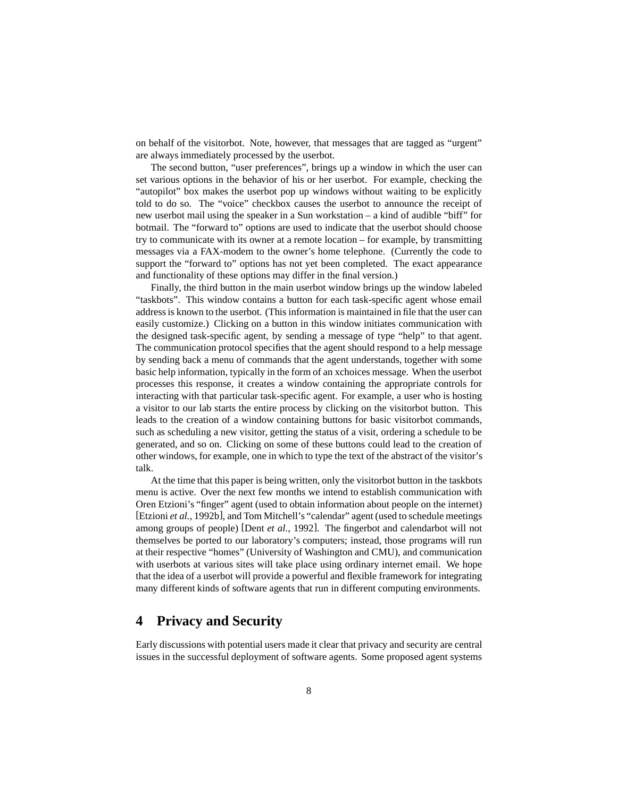on behalf of the visitorbot. Note, however, that messages that are tagged as "urgent" are always immediately processed by the userbot.

The second button, "user preferences", brings up a window in which the user can set various options in the behavior of his or her userbot. For example, checking the "autopilot" box makes the userbot pop up windows without waiting to be explicitly told to do so. The "voice" checkbox causes the userbot to announce the receipt of new userbot mail using the speaker in a Sun workstation – a kind of audible "biff" for botmail. The "forward to" options are used to indicate that the userbot should choose try to communicate with its owner at a remote location – for example, by transmitting messages via a FAX-modem to the owner's home telephone. (Currently the code to support the "forward to" options has not yet been completed. The exact appearance and functionality of these options may differ in the final version.)

Finally, the third button in the main userbot window brings up the window labeled "taskbots". This window contains a button for each task-specific agent whose email address is known to the userbot. (This information is maintained in file that the user can easily customize.) Clicking on a button in this window initiates communication with the designed task-specific agent, by sending a message of type "help" to that agent. The communication protocol specifies that the agent should respond to a help message by sending back a menu of commands that the agent understands, together with some basic help information, typically in the form of an xchoices message. When the userbot processes this response, it creates a window containing the appropriate controls for interacting with that particular task-specific agent. For example, a user who is hosting a visitor to our lab starts the entire process by clicking on the visitorbot button. This leads to the creation of a window containing buttons for basic visitorbot commands, such as scheduling a new visitor, getting the status of a visit, ordering a schedule to be generated, and so on. Clicking on some of these buttons could lead to the creation of other windows, for example, one in which to type the text of the abstract of the visitor's talk.

Atthe time that this paper is being written, only the visitorbot button in the taskbots menu is active. Over the next few months we intend to establish communication with Oren Etzioni's "finger" agent (used to obtain information about people on the internet) [Etzioni *et al.*, 1992b], and Tom Mitchell's "calendar" agent (used to schedule meetings among groups of people) [Dent *et al.*, 1992]. The fingerbot and calendarbot will not themselves be ported to our laboratory's computers; instead, those programs will run at their respective "homes" (University of Washington and CMU), and communication with userbots at various sites will take place using ordinary internet email. We hope thatthe idea of a userbot will provide a powerful and flexible framework for integrating many different kinds of software agents that run in different computing environments.

# **4 Privacy and Security**

Early discussions with potential users made it clear that privacy and security are central issues in the successful deployment of software agents. Some proposed agent systems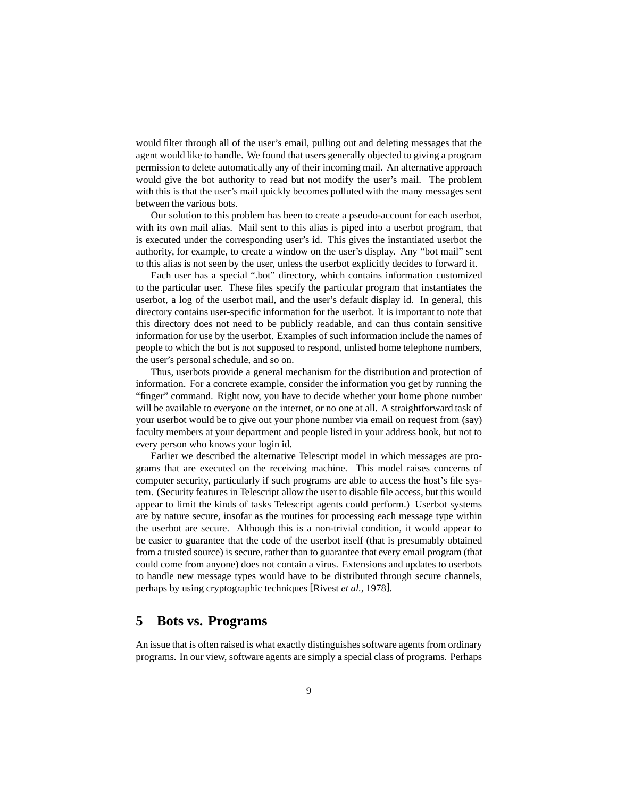would filter through all of the user's email, pulling out and deleting messages that the agent would like to handle. We found that users generally objected to giving a program permission to delete automatically any of their incoming mail. An alternative approach would give the bot authority to read but not modify the user's mail. The problem with this is that the user's mail quickly becomes polluted with the many messages sent between the various bots.

Our solution to this problem has been to create a pseudo-account for each userbot, with its own mail alias. Mail sent to this alias is piped into a userbot program, that is executed under the corresponding user's id. This gives the instantiated userbot the authority, for example, to create a window on the user's display. Any "bot mail" sent to this alias is not seen by the user, unless the userbot explicitly decides to forward it.

Each user has a special ".bot" directory, which contains information customized to the particular user. These files specify the particular program that instantiates the userbot, a log of the userbot mail, and the user's default display id. In general, this directory contains user-specific information for the userbot. It is important to note that this directory does not need to be publicly readable, and can thus contain sensitive information for use by the userbot. Examples of such information include the names of people to which the bot is not supposed to respond, unlisted home telephone numbers, the user's personal schedule, and so on.

Thus, userbots provide a general mechanism for the distribution and protection of information. For a concrete example, consider the information you get by running the "finger" command. Right now, you have to decide whether your home phone number will be available to everyone on the internet, or no one at all. A straightforward task of your userbot would be to give out your phone number via email on request from (say) faculty members at your department and people listed in your address book, but not to every person who knows your login id.

Earlier we described the alternative Telescript model in which messages are programs that are executed on the receiving machine. This model raises concerns of computer security, particularly if such programs are able to access the host's file system. (Security features in Telescript allow the user to disable file access, but this would appear to limit the kinds of tasks Telescript agents could perform.) Userbot systems are by nature secure, insofar as the routines for processing each message type within the userbot are secure. Although this is a non-trivial condition, it would appear to be easier to guarantee that the code of the userbot itself (that is presumably obtained from a trusted source) is secure, rather than to guarantee that every email program (that could come from anyone) does not contain a virus. Extensions and updates to userbots to handle new message types would have to be distributed through secure channels, perhaps by using cryptographic techniques [Rivest *et al.*, 1978].

## **5 Bots vs. Programs**

An issue that is often raised is what exactly distinguishes software agents from ordinary programs. In our view, software agents are simply a special class of programs. Perhaps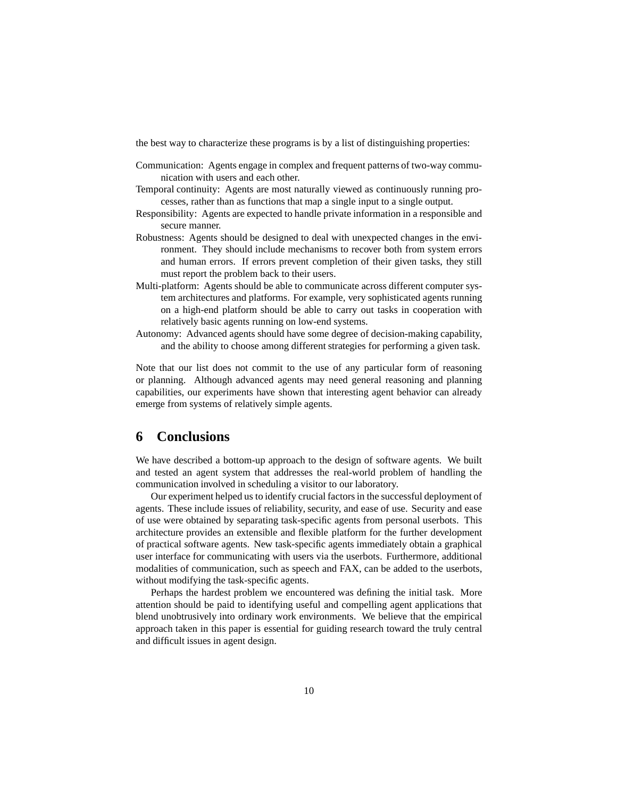the best way to characterize these programs is by a list of distinguishing properties:

- Communication: Agents engage in complex and frequent patterns of two-way communication with users and each other.
- Temporal continuity: Agents are most naturally viewed as continuously running processes, rather than as functions that map a single input to a single output.
- Responsibility: Agents are expected to handle private information in a responsible and secure manner.
- Robustness: Agents should be designed to deal with unexpected changes in the environment. They should include mechanisms to recover both from system errors and human errors. If errors prevent completion of their given tasks, they still must report the problem back to their users.
- Multi-platform: Agents should be able to communicate across different computer system architectures and platforms. For example, very sophisticated agents running on a high-end platform should be able to carry out tasks in cooperation with relatively basic agents running on low-end systems.
- Autonomy: Advanced agents should have some degree of decision-making capability, and the ability to choose among different strategies for performing a given task.

Note that our list does not commit to the use of any particular form of reasoning or planning. Although advanced agents may need general reasoning and planning capabilities, our experiments have shown that interesting agent behavior can already emerge from systems of relatively simple agents.

# **6 Conclusions**

We have described a bottom-up approach to the design of software agents. We built and tested an agent system that addresses the real-world problem of handling the communication involved in scheduling a visitor to our laboratory.

Our experiment helped us to identify crucial factorsin the successful deployment of agents. These include issues of reliability, security, and ease of use. Security and ease of use were obtained by separating task-specific agents from personal userbots. This architecture provides an extensible and flexible platform for the further development of practical software agents. New task-specific agents immediately obtain a graphical user interface for communicating with users via the userbots. Furthermore, additional modalities of communication, such as speech and FAX, can be added to the userbots, without modifying the task-specific agents.

Perhaps the hardest problem we encountered was defining the initial task. More attention should be paid to identifying useful and compelling agent applications that blend unobtrusively into ordinary work environments. We believe that the empirical approach taken in this paper is essential for guiding research toward the truly central and difficult issues in agent design.